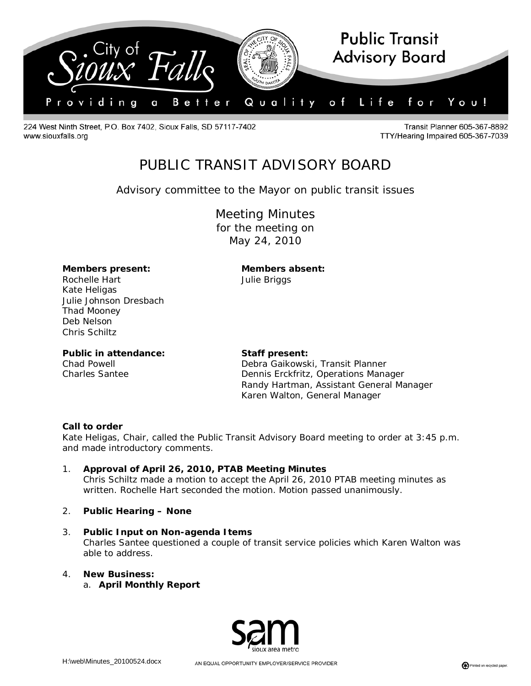

224 West Ninth Street, P.O. Box 7402, Sioux Falls, SD 57117-7402 www.siouxfalls.org

**Transit Planner 605-367-8892** TTY/Hearing Impaired 605-367-7039

# PUBLIC TRANSIT ADVISORY BOARD

*Advisory committee to the Mayor on public transit issues*

Meeting Minutes for the meeting on May 24, 2010

#### **Members present: Members absent:**

Rochelle Hart Julie Briggs Kate Heligas Julie Johnson Dresbach Thad Mooney Deb Nelson Chris Schiltz

# **Public in attendance: Staff present:**

Chad Powell Debra Gaikowski, Transit Planner Charles Santee Dennis Erckfritz, Operations Manager Randy Hartman, Assistant General Manager Karen Walton, General Manager

### **Call to order**

Kate Heligas, Chair, called the Public Transit Advisory Board meeting to order at 3:45 p.m. and made introductory comments.

- 1. **Approval of April 26, 2010, PTAB Meeting Minutes** Chris Schiltz made a motion to accept the April 26, 2010 PTAB meeting minutes as written. Rochelle Hart seconded the motion. Motion passed unanimously.
- 2. **Public Hearing – None**
- 3. **Public Input on Non-agenda Items** Charles Santee questioned a couple of transit service policies which Karen Walton was able to address.
- 4. **New Business:**  a. **April Monthly Report**